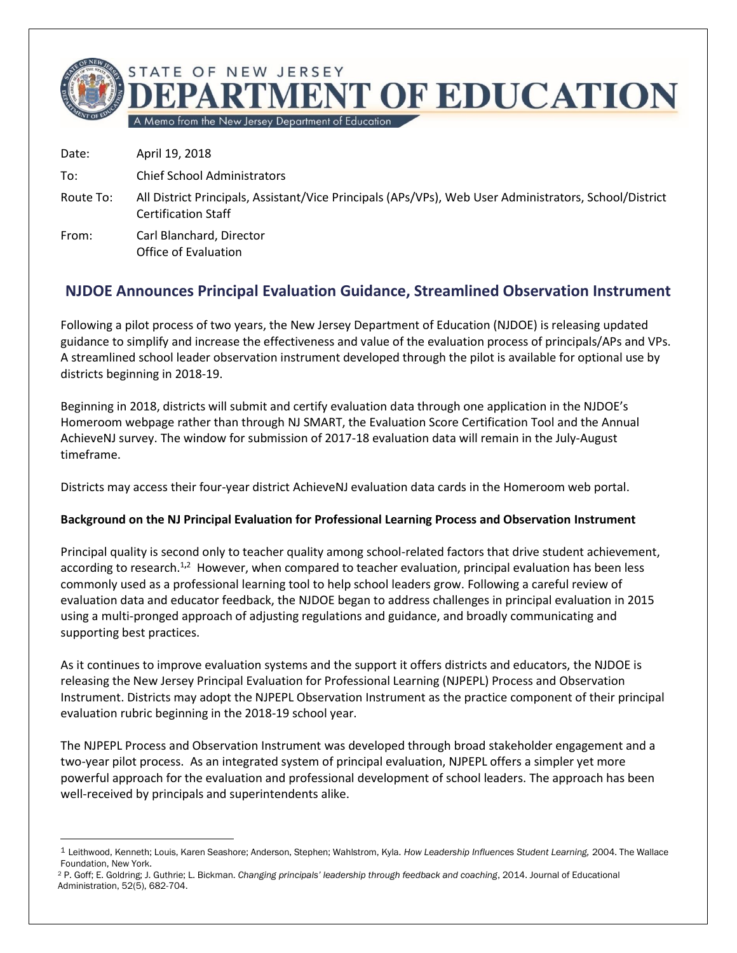

Date: April 19, 2018

 $\overline{a}$ 

- To: Chief School Administrators
- Route To: All District Principals, Assistant/Vice Principals (APs/VPs), Web User Administrators, School/District Certification Staff
- From: Carl Blanchard, Director Office of Evaluation

## **NJDOE Announces Principal Evaluation Guidance, Streamlined Observation Instrument**

Following a pilot process of two years, the New Jersey Department of Education (NJDOE) is releasing updated guidance to simplify and increase the effectiveness and value of the evaluation process of principals/APs and VPs. A streamlined school leader observation instrument developed through the pilot is available for optional use by districts beginning in 2018-19.

Beginning in 2018, districts will submit and certify evaluation data through one application in the NJDOE's Homeroom webpage rather than through NJ SMART, the Evaluation Score Certification Tool and the Annual AchieveNJ survey. The window for submission of 2017-18 evaluation data will remain in the July-August timeframe.

Districts may access their four-year district AchieveNJ evaluation data cards in the Homeroom web portal.

## **Background on the NJ Principal Evaluation for Professional Learning Process and Observation Instrument**

Principal quality is second only to teacher quality among school-related factors that drive student achievement, according to research.<sup>1,2</sup> However, when compared to teacher evaluation, principal evaluation has been less commonly used as a professional learning tool to help school leaders grow. Following a careful review of evaluation data and educator feedback, the NJDOE began to address challenges in principal evaluation in 2015 using a multi-pronged approach of adjusting regulations and guidance, and broadly communicating and supporting best practices.

As it continues to improve evaluation systems and the support it offers districts and educators, the NJDOE is releasing the New Jersey Principal Evaluation for Professional Learning (NJPEPL) Process and Observation Instrument. Districts may adopt the NJPEPL Observation Instrument as the practice component of their principal evaluation rubric beginning in the 2018-19 school year.

The NJPEPL Process and Observation Instrument was developed through broad stakeholder engagement and a two-year pilot process. As an integrated system of principal evaluation, NJPEPL offers a simpler yet more powerful approach for the evaluation and professional development of school leaders. The approach has been well-received by principals and superintendents alike.

<sup>1</sup> Leithwood, Kenneth; Louis, Karen Seashore; Anderson, Stephen; Wahlstrom, Kyla. *How Leadership Influences Student Learning,* 2004. The Wallace Foundation, New York.

<sup>2</sup> P. Goff; E. Goldring; J. Guthrie; L. Bickman. *Changing principals' leadership through feedback and coaching*, 2014. Journal of Educational Administration, 52(5), 682-704.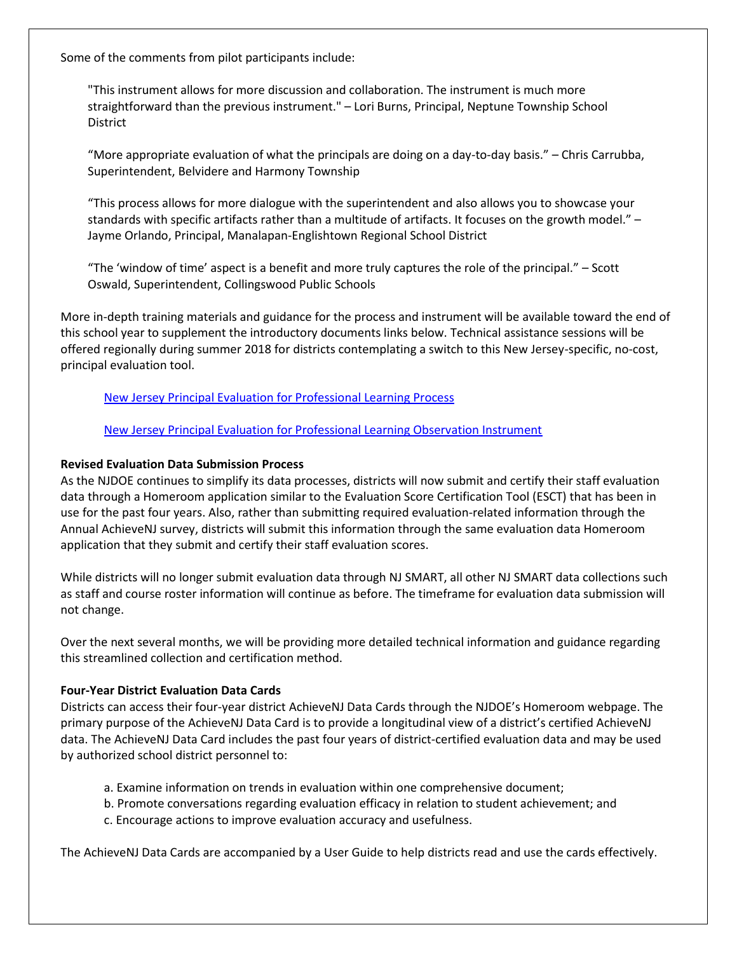Some of the comments from pilot participants include:

"This instrument allows for more discussion and collaboration. The instrument is much more straightforward than the previous instrument." – Lori Burns, Principal, Neptune Township School District

"More appropriate evaluation of what the principals are doing on a day-to-day basis." – Chris Carrubba, Superintendent, Belvidere and Harmony Township

"This process allows for more dialogue with the superintendent and also allows you to showcase your standards with specific artifacts rather than a multitude of artifacts. It focuses on the growth model." – Jayme Orlando, Principal, Manalapan-Englishtown Regional School District

"The 'window of time' aspect is a benefit and more truly captures the role of the principal." – Scott Oswald, Superintendent, Collingswood Public Schools

More in-depth training materials and guidance for the process and instrument will be available toward the end of this school year to supplement the introductory documents links below. Technical assistance sessions will be offered regionally during summer 2018 for districts contemplating a switch to this New Jersey-specific, no-cost, principal evaluation tool.

[New Jersey Principal Evaluation for Professional Learning Process](http://www.nj.gov/education/AchieveNJ/principal/pl/Process.pdf)

[New Jersey Principal Evaluation for Professional Learning Observation Instrument](http://www.nj.gov/education/AchieveNJ/principal/pl/ObservationInstrument.pdf)

## **Revised Evaluation Data Submission Process**

As the NJDOE continues to simplify its data processes, districts will now submit and certify their staff evaluation data through a Homeroom application similar to the Evaluation Score Certification Tool (ESCT) that has been in use for the past four years. Also, rather than submitting required evaluation-related information through the Annual AchieveNJ survey, districts will submit this information through the same evaluation data Homeroom application that they submit and certify their staff evaluation scores.

While districts will no longer submit evaluation data through NJ SMART, all other NJ SMART data collections such as staff and course roster information will continue as before. The timeframe for evaluation data submission will not change.

Over the next several months, we will be providing more detailed technical information and guidance regarding this streamlined collection and certification method.

## **Four-Year District Evaluation Data Cards**

Districts can access their four-year district AchieveNJ Data Cards through the NJDOE's Homeroom webpage. The primary purpose of the AchieveNJ Data Card is to provide a longitudinal view of a district's certified AchieveNJ data. The AchieveNJ Data Card includes the past four years of district-certified evaluation data and may be used by authorized school district personnel to:

- a. Examine information on trends in evaluation within one comprehensive document;
- b. Promote conversations regarding evaluation efficacy in relation to student achievement; and
- c. Encourage actions to improve evaluation accuracy and usefulness.

The AchieveNJ Data Cards are accompanied by a User Guide to help districts read and use the cards effectively.